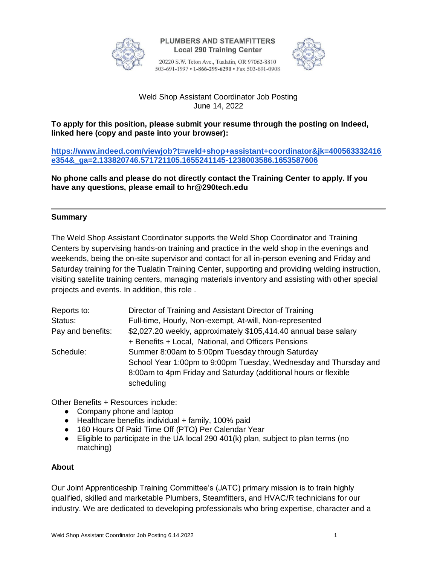

**PLUMBERS AND STEAMFITTERS Local 290 Training Center** 

20220 S.W. Teton Ave., Tualatin, OR 97062-8810 503-691-1997 • 1-866-299-6290 • Fax 503-691-0908



# Weld Shop Assistant Coordinator Job Posting June 14, 2022

# **To apply for this position, please submit your resume through the posting on Indeed, linked here (copy and paste into your browser):**

**[https://www.indeed.com/viewjob?t=weld+shop+assistant+coordinator&jk=400563332416](https://www.indeed.com/viewjob?t=weld+shop+assistant+coordinator&jk=400563332416e354&_ga=2.133820746.571721105.1655241145-1238003586.1653587606) [e354&\\_ga=2.133820746.571721105.1655241145-1238003586.1653587606](https://www.indeed.com/viewjob?t=weld+shop+assistant+coordinator&jk=400563332416e354&_ga=2.133820746.571721105.1655241145-1238003586.1653587606)**

**No phone calls and please do not directly contact the Training Center to apply. If you have any questions, please email to hr@290tech.edu**

# **Summary**

The Weld Shop Assistant Coordinator supports the Weld Shop Coordinator and Training Centers by supervising hands-on training and practice in the weld shop in the evenings and weekends, being the on-site supervisor and contact for all in-person evening and Friday and Saturday training for the Tualatin Training Center, supporting and providing welding instruction, visiting satellite training centers, managing materials inventory and assisting with other special projects and events. In addition, this role .

| Reports to:       | Director of Training and Assistant Director of Training          |
|-------------------|------------------------------------------------------------------|
| Status:           | Full-time, Hourly, Non-exempt, At-will, Non-represented          |
| Pay and benefits: | \$2,027.20 weekly, approximately \$105,414.40 annual base salary |
|                   | + Benefits + Local, National, and Officers Pensions              |
| Schedule:         | Summer 8:00am to 5:00pm Tuesday through Saturday                 |
|                   | School Year 1:00pm to 9:00pm Tuesday, Wednesday and Thursday and |
|                   | 8:00am to 4pm Friday and Saturday (additional hours or flexible  |
|                   | scheduling                                                       |

Other Benefits + Resources include:

- Company phone and laptop
- Healthcare benefits individual + family, 100% paid
- 160 Hours Of Paid Time Off (PTO) Per Calendar Year
- Eligible to participate in the UA local 290 401(k) plan, subject to plan terms (no matching)

### **About**

Our Joint Apprenticeship Training Committee's (JATC) primary mission is to train highly qualified, skilled and marketable Plumbers, Steamfitters, and HVAC/R technicians for our industry. We are dedicated to developing professionals who bring expertise, character and a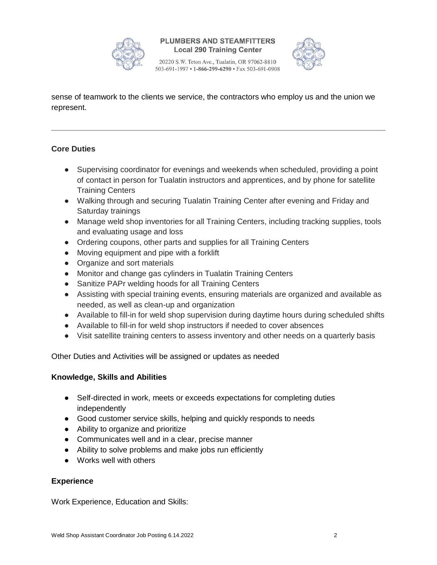

**PLUMBERS AND STEAMFITTERS Local 290 Training Center** 

20220 S.W. Teton Ave., Tualatin, OR 97062-8810 503-691-1997 • 1-866-299-6290 • Fax 503-691-0908



sense of teamwork to the clients we service, the contractors who employ us and the union we represent.

# **Core Duties**

- Supervising coordinator for evenings and weekends when scheduled, providing a point of contact in person for Tualatin instructors and apprentices, and by phone for satellite Training Centers
- Walking through and securing Tualatin Training Center after evening and Friday and Saturday trainings
- Manage weld shop inventories for all Training Centers, including tracking supplies, tools and evaluating usage and loss
- Ordering coupons, other parts and supplies for all Training Centers
- Moving equipment and pipe with a forklift
- Organize and sort materials
- Monitor and change gas cylinders in Tualatin Training Centers
- Sanitize PAPr welding hoods for all Training Centers
- Assisting with special training events, ensuring materials are organized and available as needed, as well as clean-up and organization
- Available to fill-in for weld shop supervision during daytime hours during scheduled shifts
- Available to fill-in for weld shop instructors if needed to cover absences
- Visit satellite training centers to assess inventory and other needs on a quarterly basis

Other Duties and Activities will be assigned or updates as needed

### **Knowledge, Skills and Abilities**

- Self-directed in work, meets or exceeds expectations for completing duties independently
- Good customer service skills, helping and quickly responds to needs
- Ability to organize and prioritize
- Communicates well and in a clear, precise manner
- Ability to solve problems and make jobs run efficiently
- Works well with others

# **Experience**

Work Experience, Education and Skills: